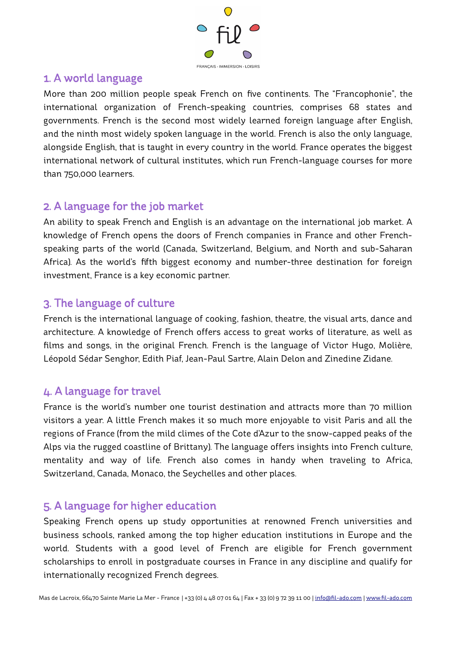

#### 1. A world language

More than 200 million people speak French on fve continents. The "Francophonie", the international organization of French-speaking countries, comprises 68 states and governments. French is the second most widely learned foreign language after English, and the ninth most widely spoken language in the world. French is also the only language, alongside English, that is taught in every country in the world. France operates the biggest international network of cultural institutes, which run French-language courses for more than 750,000 learners.

#### 2. A language for the job market

An ability to speak French and English is an advantage on the international job market. A knowledge of French opens the doors of French companies in France and other Frenchspeaking parts of the world (Canada, Switzerland, Belgium, and North and sub-Saharan Africa). As the world's ffth biggest economy and number-three destination for foreign investment, France is a key economic partner.

#### 3. The language of culture

French is the international language of cooking, fashion, theatre, the visual arts, dance and architecture. A knowledge of French offers access to great works of literature, as well as flms and songs, in the original French. French is the language of Victor Hugo, Molière, Léopold Sédar Senghor, Edith Piaf, Jean-Paul Sartre, Alain Delon and Zinedine Zidane.

# 4. A language for travel

France is the world's number one tourist destination and attracts more than 70 million visitors a year. A little French makes it so much more enjoyable to visit Paris and all the regions of France (from the mild climes of the Cote d'Azur to the snow-capped peaks of the Alps via the rugged coastline of Brittany). The language offers insights into French culture, mentality and way of life. French also comes in handy when traveling to Africa, Switzerland, Canada, Monaco, the Seychelles and other places.

# 5. A language for higher education

Speaking French opens up study opportunities at renowned French universities and business schools, ranked among the top higher education institutions in Europe and the world. Students with a good level of French are eligible for French government scholarships to enroll in postgraduate courses in France in any discipline and qualify for internationally recognized French degrees.